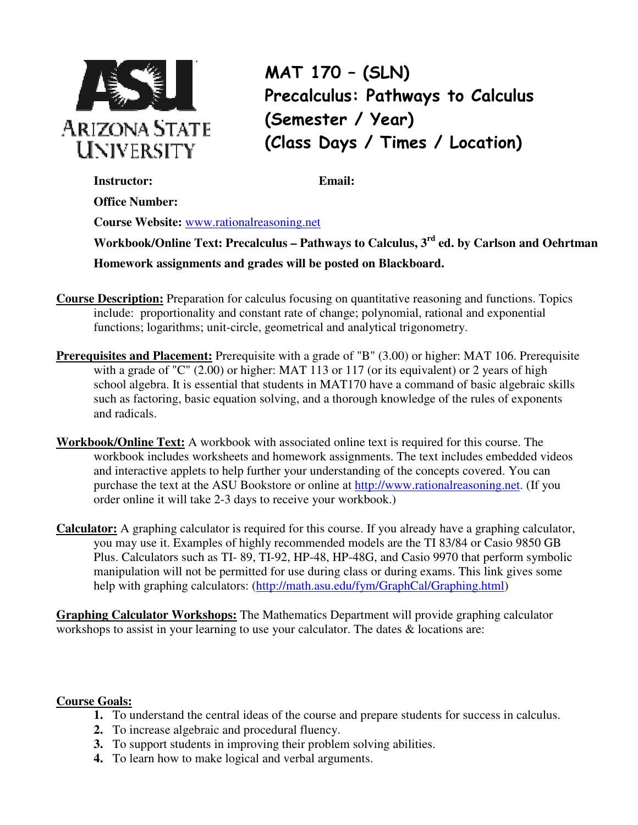

 **Office Number:**

MAT 170 – (SLN) Precalculus: Pathways to Calculus (Semester / Year) (Class Days / Times / Location)

**Instructor: Email:** 

**Course Website:** www.rationalreasoning.net

**Workbook/Online Text: Precalculus – Pathways to Calculus, 3rd ed. by Carlson and Oehrtman Homework assignments and grades will be posted on Blackboard.**

- **Course Description:** Preparation for calculus focusing on quantitative reasoning and functions. Topics include: proportionality and constant rate of change; polynomial, rational and exponential functions; logarithms; unit-circle, geometrical and analytical trigonometry.
- **Prerequisites and Placement:** Prerequisite with a grade of "B" (3.00) or higher: MAT 106. Prerequisite with a grade of "C" (2.00) or higher: MAT 113 or 117 (or its equivalent) or 2 years of high school algebra. It is essential that students in MAT170 have a command of basic algebraic skills such as factoring, basic equation solving, and a thorough knowledge of the rules of exponents and radicals.
- **Workbook/Online Text:** A workbook with associated online text is required for this course. The workbook includes worksheets and homework assignments. The text includes embedded videos and interactive applets to help further your understanding of the concepts covered. You can purchase the text at the ASU Bookstore or online at http://www.rationalreasoning.net. (If you order online it will take 2-3 days to receive your workbook.)
- **Calculator:** A graphing calculator is required for this course. If you already have a graphing calculator, you may use it. Examples of highly recommended models are the TI 83/84 or Casio 9850 GB Plus. Calculators such as TI- 89, TI-92, HP-48, HP-48G, and Casio 9970 that perform symbolic manipulation will not be permitted for use during class or during exams. This link gives some help with graphing calculators: (http://math.asu.edu/fym/GraphCal/Graphing.html)

**Graphing Calculator Workshops:** The Mathematics Department will provide graphing calculator workshops to assist in your learning to use your calculator. The dates  $\&$  locations are:

## **Course Goals:**

- **1.** To understand the central ideas of the course and prepare students for success in calculus.
- **2.** To increase algebraic and procedural fluency.
- **3.** To support students in improving their problem solving abilities.
- **4.** To learn how to make logical and verbal arguments.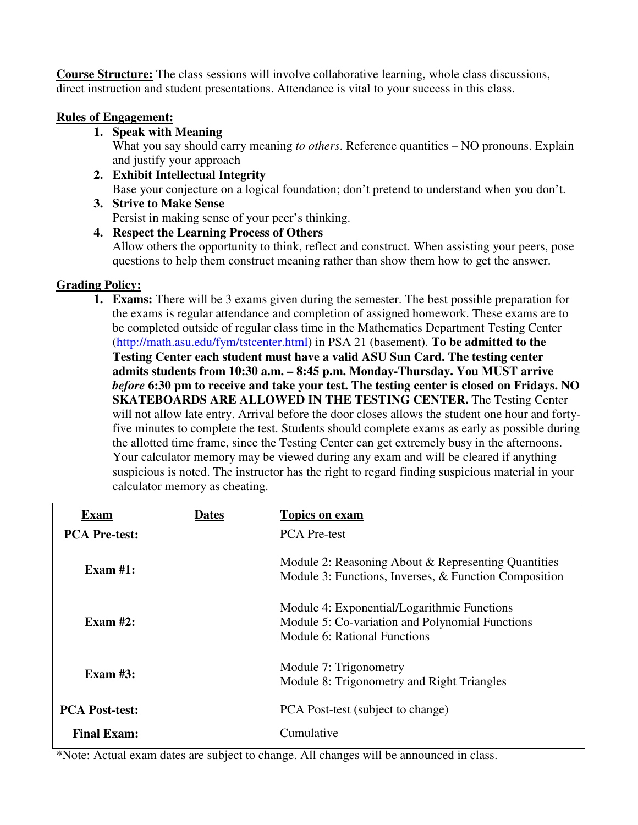**Course Structure:** The class sessions will involve collaborative learning, whole class discussions, direct instruction and student presentations. Attendance is vital to your success in this class.

### **Rules of Engagement:**

**1. Speak with Meaning** 

What you say should carry meaning *to others*. Reference quantities – NO pronouns. Explain and justify your approach

- **2. Exhibit Intellectual Integrity**  Base your conjecture on a logical foundation; don't pretend to understand when you don't.
- **3. Strive to Make Sense**  Persist in making sense of your peer's thinking.

# **4. Respect the Learning Process of Others**

Allow others the opportunity to think, reflect and construct. When assisting your peers, pose questions to help them construct meaning rather than show them how to get the answer.

## **Grading Policy:**

**1. Exams:** There will be 3 exams given during the semester. The best possible preparation for the exams is regular attendance and completion of assigned homework. These exams are to be completed outside of regular class time in the Mathematics Department Testing Center (http://math.asu.edu/fym/tstcenter.html) in PSA 21 (basement). **To be admitted to the Testing Center each student must have a valid ASU Sun Card. The testing center admits students from 10:30 a.m. – 8:45 p.m. Monday-Thursday. You MUST arrive**  *before* **6:30 pm to receive and take your test. The testing center is closed on Fridays. NO SKATEBOARDS ARE ALLOWED IN THE TESTING CENTER.** The Testing Center will not allow late entry. Arrival before the door closes allows the student one hour and fortyfive minutes to complete the test. Students should complete exams as early as possible during the allotted time frame, since the Testing Center can get extremely busy in the afternoons. Your calculator memory may be viewed during any exam and will be cleared if anything suspicious is noted. The instructor has the right to regard finding suspicious material in your calculator memory as cheating.

| <b>Exam</b>           | <b>Dates</b> | <b>Topics on exam</b>                                                                                                          |  |  |
|-----------------------|--------------|--------------------------------------------------------------------------------------------------------------------------------|--|--|
| <b>PCA Pre-test:</b>  |              | <b>PCA</b> Pre-test                                                                                                            |  |  |
| Exam $#1$ :           |              | Module 2: Reasoning About & Representing Quantities<br>Module 3: Functions, Inverses, & Function Composition                   |  |  |
| Exam $#2:$            |              | Module 4: Exponential/Logarithmic Functions<br>Module 5: Co-variation and Polynomial Functions<br>Module 6: Rational Functions |  |  |
| Exam $#3$ :           |              | Module 7: Trigonometry<br>Module 8: Trigonometry and Right Triangles                                                           |  |  |
| <b>PCA Post-test:</b> |              | PCA Post-test (subject to change)                                                                                              |  |  |
| <b>Final Exam:</b>    |              | Cumulative                                                                                                                     |  |  |

\*Note: Actual exam dates are subject to change. All changes will be announced in class.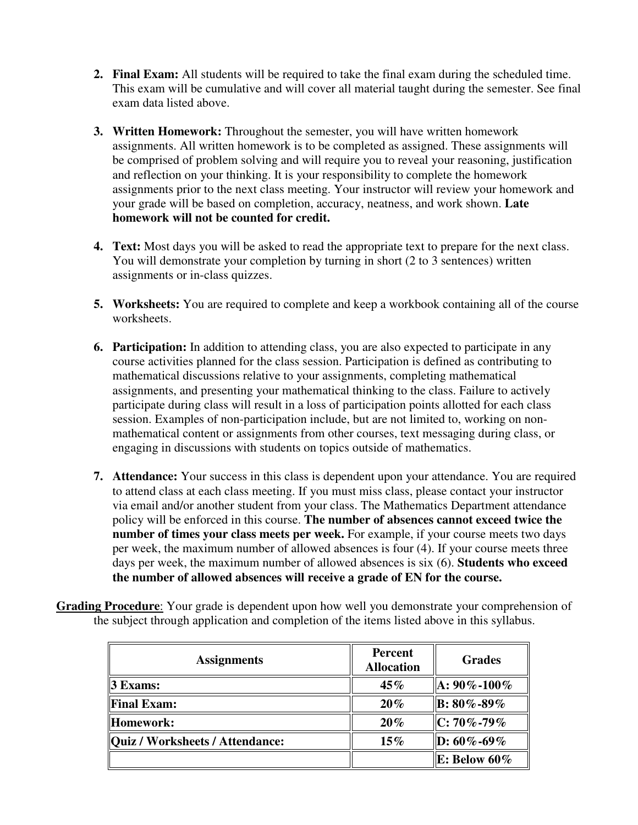- **2. Final Exam:** All students will be required to take the final exam during the scheduled time. This exam will be cumulative and will cover all material taught during the semester. See final exam data listed above.
- **3. Written Homework:** Throughout the semester, you will have written homework assignments. All written homework is to be completed as assigned. These assignments will be comprised of problem solving and will require you to reveal your reasoning, justification and reflection on your thinking. It is your responsibility to complete the homework assignments prior to the next class meeting. Your instructor will review your homework and your grade will be based on completion, accuracy, neatness, and work shown. **Late homework will not be counted for credit.**
- **4. Text:** Most days you will be asked to read the appropriate text to prepare for the next class. You will demonstrate your completion by turning in short (2 to 3 sentences) written assignments or in-class quizzes.
- **5. Worksheets:** You are required to complete and keep a workbook containing all of the course worksheets.
- **6. Participation:** In addition to attending class, you are also expected to participate in any course activities planned for the class session. Participation is defined as contributing to mathematical discussions relative to your assignments, completing mathematical assignments, and presenting your mathematical thinking to the class. Failure to actively participate during class will result in a loss of participation points allotted for each class session. Examples of non-participation include, but are not limited to, working on nonmathematical content or assignments from other courses, text messaging during class, or engaging in discussions with students on topics outside of mathematics.
- **7. Attendance:** Your success in this class is dependent upon your attendance. You are required to attend class at each class meeting. If you must miss class, please contact your instructor via email and/or another student from your class. The Mathematics Department attendance policy will be enforced in this course. **The number of absences cannot exceed twice the number of times your class meets per week.** For example, if your course meets two days per week, the maximum number of allowed absences is four (4). If your course meets three days per week, the maximum number of allowed absences is six (6). **Students who exceed the number of allowed absences will receive a grade of EN for the course.**

|                                                                                            |  | <b>Grading Procedure:</b> Your grade is dependent upon how well you demonstrate your comprehension of |  |
|--------------------------------------------------------------------------------------------|--|-------------------------------------------------------------------------------------------------------|--|
| the subject through application and completion of the items listed above in this syllabus. |  |                                                                                                       |  |

| <b>Assignments</b>                     | <b>Percent</b><br><b>Allocation</b> | <b>Grades</b>      |
|----------------------------------------|-------------------------------------|--------------------|
| 3 Exams:                               | 45%                                 | $A: 90\% - 100\%$  |
| <b>Final Exam:</b>                     | 20%                                 | $\vert$ B: 80%-89% |
| <b>Homework:</b>                       | 20%                                 | $\rm C: 70\%$ -79% |
| <b>Quiz / Worksheets / Attendance:</b> | $15\%$                              | $\ D: 60\% - 69\%$ |
|                                        |                                     | E: Below $60\%$    |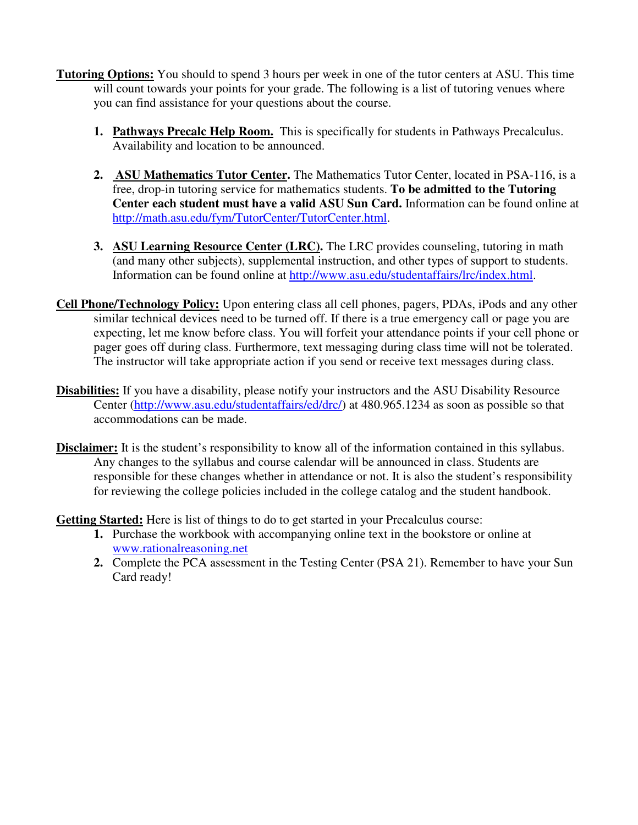- **Tutoring Options:** You should to spend 3 hours per week in one of the tutor centers at ASU. This time will count towards your points for your grade. The following is a list of tutoring venues where you can find assistance for your questions about the course.
	- **1. Pathways Precalc Help Room.** This is specifically for students in Pathways Precalculus. Availability and location to be announced.
	- **2. ASU Mathematics Tutor Center.** The Mathematics Tutor Center, located in PSA-116, is a free, drop-in tutoring service for mathematics students. **To be admitted to the Tutoring Center each student must have a valid ASU Sun Card.** Information can be found online at http://math.asu.edu/fym/TutorCenter/TutorCenter.html.
	- **3. ASU Learning Resource Center (LRC).** The LRC provides counseling, tutoring in math (and many other subjects), supplemental instruction, and other types of support to students. Information can be found online at http://www.asu.edu/studentaffairs/lrc/index.html.
- **Cell Phone/Technology Policy:** Upon entering class all cell phones, pagers, PDAs, iPods and any other similar technical devices need to be turned off. If there is a true emergency call or page you are expecting, let me know before class. You will forfeit your attendance points if your cell phone or pager goes off during class. Furthermore, text messaging during class time will not be tolerated. The instructor will take appropriate action if you send or receive text messages during class.
- **Disabilities:** If you have a disability, please notify your instructors and the ASU Disability Resource Center (http://www.asu.edu/studentaffairs/ed/drc/) at 480.965.1234 as soon as possible so that accommodations can be made.
- **Disclaimer:** It is the student's responsibility to know all of the information contained in this syllabus. Any changes to the syllabus and course calendar will be announced in class. Students are responsible for these changes whether in attendance or not. It is also the student's responsibility for reviewing the college policies included in the college catalog and the student handbook.

**Getting Started:** Here is list of things to do to get started in your Precalculus course:

- **1.** Purchase the workbook with accompanying online text in the bookstore or online at www.rationalreasoning.net
- **2.** Complete the PCA assessment in the Testing Center (PSA 21). Remember to have your Sun Card ready!